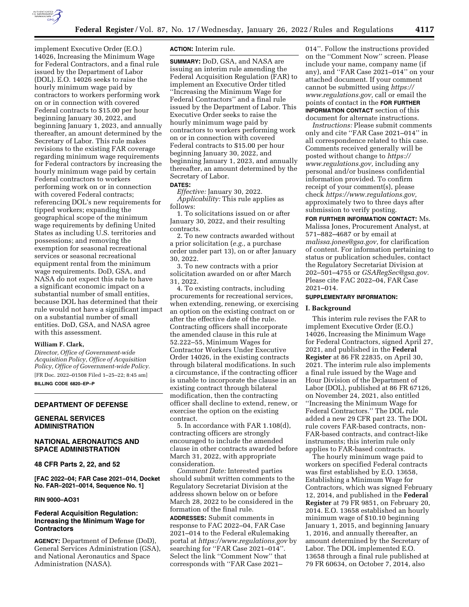

implement Executive Order (E.O.) 14026, Increasing the Minimum Wage for Federal Contractors, and a final rule issued by the Department of Labor (DOL). E.O. 14026 seeks to raise the hourly minimum wage paid by contractors to workers performing work on or in connection with covered Federal contracts to \$15.00 per hour beginning January 30, 2022, and beginning January 1, 2023, and annually thereafter, an amount determined by the Secretary of Labor. This rule makes revisions to the existing FAR coverage regarding minimum wage requirements for Federal contractors by increasing the hourly minimum wage paid by certain Federal contractors to workers performing work on or in connection with covered Federal contracts; referencing DOL's new requirements for tipped workers; expanding the geographical scope of the minimum wage requirements by defining United States as including U.S. territories and possessions; and removing the exemption for seasonal recreational services or seasonal recreational equipment rental from the minimum wage requirements. DoD, GSA, and NASA do not expect this rule to have a significant economic impact on a substantial number of small entities, because DOL has determined that their rule would not have a significant impact on a substantial number of small entities. DoD, GSA, and NASA agree with this assessment.

# **William F. Clark,**

*Director, Office of Government-wide Acquisition Policy, Office of Acquisition Policy, Office of Government-wide Policy.*  [FR Doc. 2022–01508 Filed 1–25–22; 8:45 am]

**BILLING CODE 6820–EP–P** 

# **DEPARTMENT OF DEFENSE**

# **GENERAL SERVICES ADMINISTRATION**

# **NATIONAL AERONAUTICS AND SPACE ADMINISTRATION**

**48 CFR Parts 2, 22, and 52** 

**[FAC 2022–04; FAR Case 2021–014, Docket No. FAR–2021–0014, Sequence No. 1]** 

## **RIN 9000–AO31**

# **Federal Acquisition Regulation: Increasing the Minimum Wage for Contractors**

**AGENCY:** Department of Defense (DoD), General Services Administration (GSA), and National Aeronautics and Space Administration (NASA).

# **ACTION:** Interim rule.

**SUMMARY:** DoD, GSA, and NASA are issuing an interim rule amending the Federal Acquisition Regulation (FAR) to implement an Executive Order titled ''Increasing the Minimum Wage for Federal Contractors'' and a final rule issued by the Department of Labor. This Executive Order seeks to raise the hourly minimum wage paid by contractors to workers performing work on or in connection with covered Federal contracts to \$15.00 per hour beginning January 30, 2022, and beginning January 1, 2023, and annually thereafter, an amount determined by the Secretary of Labor.

#### **DATES:**

*Effective:* January 30, 2022. *Applicability:* This rule applies as follows:

1. To solicitations issued on or after January 30, 2022, and their resulting contracts.

2. To new contracts awarded without a prior solicitation (*e.g.,* a purchase order under part 13), on or after January 30, 2022.

3. To new contracts with a prior solicitation awarded on or after March 31, 2022.

4. To existing contracts, including procurements for recreational services, when extending, renewing, or exercising an option on the existing contract on or after the effective date of the rule. Contracting officers shall incorporate the amended clause in this rule at 52.222–55, Minimum Wages for Contractor Workers Under Executive Order 14026, in the existing contracts through bilateral modifications. In such a circumstance, if the contracting officer is unable to incorporate the clause in an existing contract through bilateral modification, then the contracting officer shall decline to extend, renew, or exercise the option on the existing contract.

5. In accordance with FAR 1.108(d), contracting officers are strongly encouraged to include the amended clause in other contracts awarded before March 31, 2022, with appropriate consideration.

*Comment Date:* Interested parties should submit written comments to the Regulatory Secretariat Division at the address shown below on or before March 28, 2022 to be considered in the formation of the final rule.

**ADDRESSES:** Submit comments in response to FAC 2022–04, FAR Case 2021–014 to the Federal eRulemaking portal at *<https://www.regulations.gov>* by searching for ''FAR Case 2021–014''. Select the link ''Comment Now'' that corresponds with ''FAR Case 2021–

014''. Follow the instructions provided on the ''Comment Now'' screen. Please include your name, company name (if any), and ''FAR Case 2021–014'' on your attached document. If your comment cannot be submitted using *[https://](https://www.regulations.gov) [www.regulations.gov,](https://www.regulations.gov)* call or email the points of contact in the **FOR FURTHER INFORMATION CONTACT** section of this document for alternate instructions.

*Instructions:* Please submit comments only and cite ''FAR Case 2021–014'' in all correspondence related to this case. Comments received generally will be posted without change to *[https://](https://www.regulations.gov) [www.regulations.gov,](https://www.regulations.gov)* including any personal and/or business confidential information provided. To confirm receipt of your comment(s), please check *[https://www.regulations.gov,](https://www.regulations.gov)*  approximately two to three days after submission to verify posting.

**FOR FURTHER INFORMATION CONTACT:** Ms. Malissa Jones, Procurement Analyst, at 571–882–4687 or by email at *[malissa.jones@gsa.gov,](mailto:malissa.jones@gsa.gov)* for clarification of content. For information pertaining to status or publication schedules, contact the Regulatory Secretariat Division at 202–501–4755 or *[GSARegSec@gsa.gov.](mailto:GSARegSec@gsa.gov)*  Please cite FAC 2022–04, FAR Case 2021–014.

### **SUPPLEMENTARY INFORMATION:**

#### **I. Background**

This interim rule revises the FAR to implement Executive Order (E.O.) 14026, Increasing the Minimum Wage for Federal Contractors, signed April 27, 2021, and published in the **Federal Register** at 86 FR 22835, on April 30, 2021. The interim rule also implements a final rule issued by the Wage and Hour Division of the Department of Labor (DOL), published at 86 FR 67126, on November 24, 2021, also entitled ''Increasing the Minimum Wage for Federal Contractors.'' The DOL rule added a new 29 CFR part 23. The DOL rule covers FAR-based contracts, non-FAR-based contracts, and contract-like instruments; this interim rule only applies to FAR-based contracts.

The hourly minimum wage paid to workers on specified Federal contracts was first established by E.O. 13658, Establishing a Minimum Wage for Contractors, which was signed February 12, 2014, and published in the **Federal Register** at 79 FR 9851, on February 20, 2014. E.O. 13658 established an hourly minimum wage of \$10.10 beginning January 1, 2015, and beginning January 1, 2016, and annually thereafter, an amount determined by the Secretary of Labor. The DOL implemented E.O. 13658 through a final rule published at 79 FR 60634, on October 7, 2014, also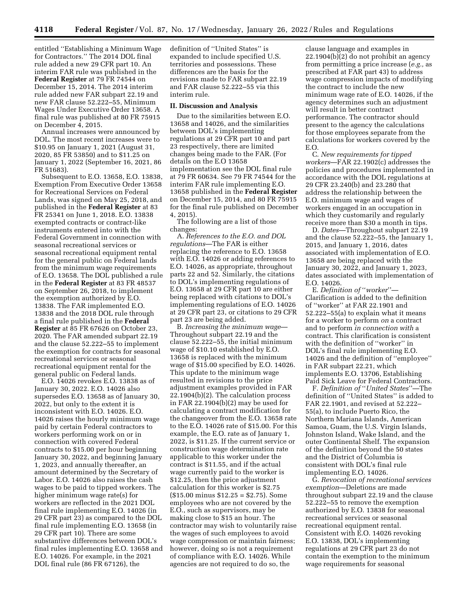entitled ''Establishing a Minimum Wage for Contractors.'' The 2014 DOL final rule added a new 29 CFR part 10. An interim FAR rule was published in the **Federal Register** at 79 FR 74544 on December 15, 2014. The 2014 interim rule added new FAR subpart 22.19 and new FAR clause 52.222–55, Minimum Wages Under Executive Order 13658. A final rule was published at 80 FR 75915 on December 4, 2015.

Annual increases were announced by DOL. The most recent increases were to \$10.95 on January 1, 2021 (August 31, 2020, 85 FR 53850) and to \$11.25 on January 1, 2022 (September 16, 2021, 86 FR 51683).

Subsequent to E.O. 13658, E.O. 13838, Exemption From Executive Order 13658 for Recreational Services on Federal Lands, was signed on May 25, 2018, and published in the **Federal Register** at 83 FR 25341 on June 1, 2018. E.O. 13838 exempted contracts or contract-like instruments entered into with the Federal Government in connection with seasonal recreational services or seasonal recreational equipment rental for the general public on Federal lands from the minimum wage requirements of E.O. 13658. The DOL published a rule in the **Federal Register** at 83 FR 48537 on September 26, 2018, to implement the exemption authorized by E.O. 13838. The FAR implemented E.O. 13838 and the 2018 DOL rule through a final rule published in the **Federal Register** at 85 FR 67626 on October 23, 2020. The FAR amended subpart 22.19 and the clause 52.222–55 to implement the exemption for contracts for seasonal recreational services or seasonal recreational equipment rental for the general public on Federal lands.

E.O. 14026 revokes E.O. 13838 as of January 30, 2022. E.O. 14026 also supersedes E.O. 13658 as of January 30, 2022, but only to the extent it is inconsistent with E.O. 14026. E.O. 14026 raises the hourly minimum wage paid by certain Federal contractors to workers performing work on or in connection with covered Federal contracts to \$15.00 per hour beginning January 30, 2022, and beginning January 1, 2023, and annually thereafter, an amount determined by the Secretary of Labor. E.O. 14026 also raises the cash wages to be paid to tipped workers. The higher minimum wage rate(s) for workers are reflected in the 2021 DOL final rule implementing E.O. 14026 (in 29 CFR part 23) as compared to the DOL final rule implementing E.O. 13658 (in 29 CFR part 10). There are some substantive differences between DOL's final rules implementing E.O. 13658 and E.O. 14026. For example, in the 2021 DOL final rule (86 FR 67126), the

definition of ''United States'' is expanded to include specified U.S. territories and possessions. These differences are the basis for the revisions made to FAR subpart 22.19 and FAR clause 52.222–55 via this interim rule.

#### **II. Discussion and Analysis**

Due to the similarities between E.O. 13658 and 14026, and the similarities between DOL's implementing regulations at 29 CFR part 10 and part 23 respectively, there are limited changes being made to the FAR. (For details on the E.O 13658 implementation see the DOL final rule at 79 FR 60634. See 79 FR 74544 for the interim FAR rule implementing E.O. 13658 published in the **Federal Register**  on December 15, 2014, and 80 FR 75915 for the final rule published on December 4, 2015).

The following are a list of those changes:

A. *References to the E.O. and DOL regulations*—The FAR is either replacing the reference to E.O. 13658 with E.O. 14026 or adding references to E.O. 14026, as appropriate, throughout parts 22 and 52. Similarly, the citations to DOL's implementing regulations of E.O. 13658 at 29 CFR part 10 are either being replaced with citations to DOL's implementing regulations of E.O. 14026 at 29 CFR part 23, or citations to 29 CFR part 23 are being added.

B. *Increasing the minimum wage*— Throughout subpart 22.19 and the clause 52.222–55, the initial minimum wage of \$10.10 established by E.O. 13658 is replaced with the minimum wage of \$15.00 specified by E.O. 14026. This update to the minimum wage resulted in revisions to the price adjustment examples provided in FAR 22.1904(b)(2). The calculation process in FAR 22.1904(b)(2) may be used for calculating a contract modification for the changeover from the E.O. 13658 rate to the E.O. 14026 rate of \$15.00. For this example, the E.O. rate as of January 1, 2022, is \$11.25. If the current service or construction wage determination rate applicable to this worker under the contract is \$11.55, and if the actual wage currently paid to the worker is \$12.25, then the price adjustment calculation for this worker is \$2.75 (\$15.00 minus \$12.25 = \$2.75). Some employees who are not covered by the E.O., such as supervisors, may be making close to \$15 an hour. The contractor may wish to voluntarily raise the wages of such employees to avoid wage compression or maintain fairness; however, doing so is not a requirement of compliance with E.O. 14026. While agencies are not required to do so, the

clause language and examples in  $22.1904(b)(2)$  do not prohibit an agency from permitting a price increase (*e.g.,* as prescribed at FAR part 43) to address wage compression impacts of modifying the contract to include the new minimum wage rate of E.O. 14026, if the agency determines such an adjustment will result in better contract performance. The contractor should present to the agency the calculations for those employees separate from the calculations for workers covered by the E.O.

C. *New requirements for tipped workers*—FAR 22.1902(c) addresses the policies and procedures implemented in accordance with the DOL regulations at 29 CFR 23.240(b) and 23.280 that address the relationship between the E.O. minimum wage and wages of workers engaged in an occupation in which they customarily and regularly receive more than \$30 a month in tips.

D. *Dates*—Throughout subpart 22.19 and the clause 52.222–55, the January 1, 2015, and January 1, 2016, dates associated with implementation of E.O. 13658 are being replaced with the January 30, 2022, and January 1, 2023, dates associated with implementation of E.O. 14026.

E. *Definition of* ''*worker*''— Clarification is added to the definition of ''worker'' at FAR 22.1901 and 52.222–55(a) to explain what it means for a worker to perform *on* a contract and to perform *in connection with* a contract. This clarification is consistent with the definition of ''worker'' in DOL's final rule implementing E.O. 14026 and the definition of ''employee'' in FAR subpart 22.21, which implements E.O. 13706, Establishing Paid Sick Leave for Federal Contractors.

F. *Definition of* ''*United States*''—The definition of ''United States'' is added to FAR 22.1901, and revised at 52.222– 55(a), to include Puerto Rico, the Northern Mariana Islands, American Samoa, Guam, the U.S. Virgin Islands, Johnston Island, Wake Island, and the outer Continental Shelf. The expansion of the definition beyond the 50 states and the District of Columbia is consistent with DOL's final rule implementing E.O. 14026.

G. *Revocation of recreational services exemption*—Deletions are made throughout subpart 22.19 and the clause 52.222–55 to remove the exemption authorized by E.O. 13838 for seasonal recreational services or seasonal recreational equipment rental. Consistent with E.O. 14026 revoking E.O. 13838, DOL's implementing regulations at 29 CFR part 23 do not contain the exemption to the minimum wage requirements for seasonal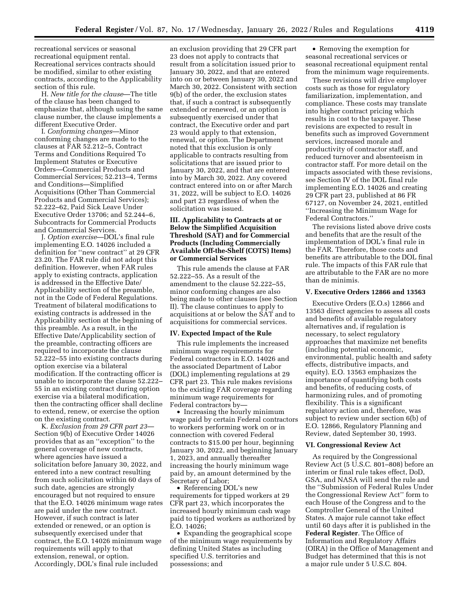recreational services or seasonal recreational equipment rental. Recreational services contracts should be modified, similar to other existing contracts, according to the Applicability section of this rule.

H. *New title for the clause*—The title of the clause has been changed to emphasize that, although using the same clause number, the clause implements a different Executive Order.

I. *Conforming changes*—Minor conforming changes are made to the clauses at FAR 52.212–5, Contract Terms and Conditions Required To Implement Statutes or Executive Orders—Commercial Products and Commercial Services; 52.213–4, Terms and Conditions—Simplified Acquisitions (Other Than Commercial Products and Commercial Services); 52.222–62, Paid Sick Leave Under Executive Order 13706; and 52.244–6, Subcontracts for Commercial Products and Commercial Services.

J. *Option exercise*—DOL's final rule implementing E.O. 14026 included a definition for ''new contract'' at 29 CFR 23.20. The FAR rule did not adopt this definition. However, when FAR rules apply to existing contracts, application is addressed in the Effective Date/ Applicability section of the preamble, not in the Code of Federal Regulations. Treatment of bilateral modifications to existing contracts is addressed in the Applicability section at the beginning of this preamble. As a result, in the Effective Date/Applicability section of the preamble, contracting officers are required to incorporate the clause 52.222–55 into existing contracts during option exercise via a bilateral modification. If the contracting officer is unable to incorporate the clause 52.222– 55 in an existing contract during option exercise via a bilateral modification, then the contracting officer shall decline to extend, renew, or exercise the option on the existing contract.

K. *Exclusion from 29 CFR part 23*— Section 9(b) of Executive Order 14026 provides that as an ''exception'' to the general coverage of new contracts, where agencies have issued a solicitation before January 30, 2022, and entered into a new contract resulting from such solicitation within 60 days of such date, agencies are strongly encouraged but not required to ensure that the E.O. 14026 minimum wage rates are paid under the new contract. However, if such contract is later extended or renewed, or an option is subsequently exercised under that contract, the E.O. 14026 minimum wage requirements will apply to that extension, renewal, or option. Accordingly, DOL's final rule included

an exclusion providing that 29 CFR part 23 does not apply to contracts that result from a solicitation issued prior to January 30, 2022, and that are entered into on or between January 30, 2022 and March 30, 2022. Consistent with section 9(b) of the order, the exclusion states that, if such a contract is subsequently extended or renewed, or an option is subsequently exercised under that contract, the Executive order and part 23 would apply to that extension, renewal, or option. The Department noted that this exclusion is only applicable to contracts resulting from solicitations that are issued prior to January 30, 2022, and that are entered into by March 30, 2022. Any covered contract entered into on or after March 31, 2022, will be subject to E.O. 14026 and part 23 regardless of when the solicitation was issued.

# **III. Applicability to Contracts at or Below the Simplified Acquisition Threshold (SAT) and for Commercial Products (Including Commercially Available Off-the-Shelf (COTS) Items) or Commercial Services**

This rule amends the clause at FAR 52.222–55. As a result of the amendment to the clause 52.222–55, minor conforming changes are also being made to other clauses (see Section II). The clause continues to apply to acquisitions at or below the SAT and to acquisitions for commercial services.

#### **IV. Expected Impact of the Rule**

This rule implements the increased minimum wage requirements for Federal contractors in E.O. 14026 and the associated Department of Labor (DOL) implementing regulations at 29 CFR part 23. This rule makes revisions to the existing FAR coverage regarding minimum wage requirements for Federal contractors by—

• Increasing the hourly minimum wage paid by certain Federal contractors to workers performing work on or in connection with covered Federal contracts to \$15.00 per hour, beginning January 30, 2022, and beginning January 1, 2023, and annually thereafter increasing the hourly minimum wage paid by, an amount determined by the Secretary of Labor;

• Referencing DOL's new requirements for tipped workers at 29 CFR part 23, which incorporates the increased hourly minimum cash wage paid to tipped workers as authorized by E.O. 14026;

• Expanding the geographical scope of the minimum wage requirements by defining United States as including specified U.S. territories and possessions; and

• Removing the exemption for seasonal recreational services or seasonal recreational equipment rental from the minimum wage requirements.

These revisions will drive employer costs such as those for regulatory familiarization, implementation, and compliance. These costs may translate into higher contract pricing which results in cost to the taxpayer. These revisions are expected to result in benefits such as improved Government services, increased morale and productivity of contractor staff, and reduced turnover and absenteeism in contractor staff. For more detail on the impacts associated with these revisions, see Section IV of the DOL final rule implementing E.O. 14026 and creating 29 CFR part 23, published at 86 FR 67127, on November 24, 2021, entitled ''Increasing the Minimum Wage for Federal Contractors.''

The revisions listed above drive costs and benefits that are the result of the implementation of DOL's final rule in the FAR. Therefore, those costs and benefits are attributable to the DOL final rule. The impacts of this FAR rule that are attributable to the FAR are no more than de minimis.

### **V. Executive Orders 12866 and 13563**

Executive Orders (E.O.s) 12866 and 13563 direct agencies to assess all costs and benefits of available regulatory alternatives and, if regulation is necessary, to select regulatory approaches that maximize net benefits (including potential economic, environmental, public health and safety effects, distributive impacts, and equity). E.O. 13563 emphasizes the importance of quantifying both costs and benefits, of reducing costs, of harmonizing rules, and of promoting flexibility. This is a significant regulatory action and, therefore, was subject to review under section 6(b) of E.O. 12866, Regulatory Planning and Review, dated September 30, 1993.

#### **VI. Congressional Review Act**

As required by the Congressional Review Act (5 U.S.C. 801–808) before an interim or final rule takes effect, DoD, GSA, and NASA will send the rule and the ''Submission of Federal Rules Under the Congressional Review Act'' form to each House of the Congress and to the Comptroller General of the United States. A major rule cannot take effect until 60 days after it is published in the **Federal Register**. The Office of Information and Regulatory Affairs (OIRA) in the Office of Management and Budget has determined that this is not a major rule under 5 U.S.C. 804.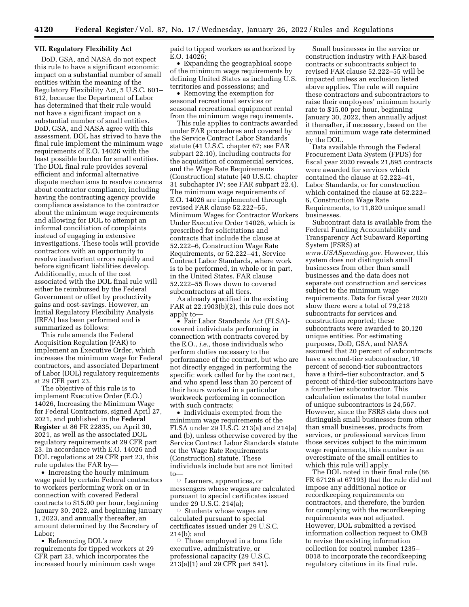## **VII. Regulatory Flexibility Act**

DoD, GSA, and NASA do not expect this rule to have a significant economic impact on a substantial number of small entities within the meaning of the Regulatory Flexibility Act, 5 U.S.C. 601– 612, because the Department of Labor has determined that their rule would not have a significant impact on a substantial number of small entities. DoD, GSA, and NASA agree with this assessment. DOL has strived to have the final rule implement the minimum wage requirements of E.O. 14026 with the least possible burden for small entities. The DOL final rule provides several efficient and informal alternative dispute mechanisms to resolve concerns about contractor compliance, including having the contracting agency provide compliance assistance to the contractor about the minimum wage requirements and allowing for DOL to attempt an informal conciliation of complaints instead of engaging in extensive investigations. These tools will provide contractors with an opportunity to resolve inadvertent errors rapidly and before significant liabilities develop. Additionally, much of the cost associated with the DOL final rule will either be reimbursed by the Federal Government or offset by productivity gains and cost-savings. However, an Initial Regulatory Flexibility Analysis (IRFA) has been performed and is summarized as follows:

This rule amends the Federal Acquisition Regulation (FAR) to implement an Executive Order, which increases the minimum wage for Federal contractors, and associated Department of Labor (DOL) regulatory requirements at 29 CFR part 23.

The objective of this rule is to implement Executive Order (E.O.) 14026, Increasing the Minimum Wage for Federal Contractors, signed April 27, 2021, and published in the **Federal Register** at 86 FR 22835, on April 30, 2021, as well as the associated DOL regulatory requirements at 29 CFR part 23. In accordance with E.O. 14026 and DOL regulations at 29 CFR part 23, this rule updates the FAR by—

• Increasing the hourly minimum wage paid by certain Federal contractors to workers performing work on or in connection with covered Federal contracts to \$15.00 per hour, beginning January 30, 2022, and beginning January 1, 2023, and annually thereafter, an amount determined by the Secretary of Labor;

• Referencing DOL's new requirements for tipped workers at 29 CFR part 23, which incorporates the increased hourly minimum cash wage paid to tipped workers as authorized by E.O. 14026;

• Expanding the geographical scope of the minimum wage requirements by defining United States as including U.S. territories and possessions; and

• Removing the exemption for seasonal recreational services or seasonal recreational equipment rental from the minimum wage requirements.

This rule applies to contracts awarded under FAR procedures and covered by the Service Contract Labor Standards statute (41 U.S.C. chapter 67; see FAR subpart 22.10), including contracts for the acquisition of commercial services, and the Wage Rate Requirements (Construction) statute (40 U.S.C. chapter 31 subchapter IV; see FAR subpart 22.4). The minimum wage requirements of E.O. 14026 are implemented through revised FAR clause 52.222–55, Minimum Wages for Contractor Workers Under Executive Order 14026, which is prescribed for solicitations and contracts that include the clause at 52.222–6, Construction Wage Rate Requirements, or 52.222–41, Service Contract Labor Standards, where work is to be performed, in whole or in part, in the United States. FAR clause 52.222–55 flows down to covered subcontractors at all tiers.

As already specified in the existing FAR at 22.1903(b)(2), this rule does not apply to—

• Fair Labor Standards Act (FLSA) covered individuals performing in connection with contracts covered by the E.O., *i.e.,* those individuals who perform duties necessary to the performance of the contract, but who are not directly engaged in performing the specific work called for by the contract, and who spend less than 20 percent of their hours worked in a particular workweek performing in connection with such contracts;

• Individuals exempted from the minimum wage requirements of the FLSA under 29 U.S.C. 213(a) and 214(a) and (b), unless otherwise covered by the Service Contract Labor Standards statute or the Wage Rate Requirements (Construction) statute. These individuals include but are not limited to—

Æ Learners, apprentices, or messengers whose wages are calculated pursuant to special certificates issued under 29 U.S.C. 214(a);

 $\circ$  Students whose wages are calculated pursuant to special certificates issued under 29 U.S.C. 214(b); and

 $\circ$  Those employed in a bona fide executive, administrative, or professional capacity (29 U.S.C. 213(a)(1) and 29 CFR part 541).

Small businesses in the service or construction industry with FAR-based contracts or subcontracts subject to revised FAR clause 52.222–55 will be impacted unless an exclusion listed above applies. The rule will require these contractors and subcontractors to raise their employees' minimum hourly rate to \$15.00 per hour, beginning January 30, 2022, then annually adjust it thereafter, if necessary, based on the annual minimum wage rate determined by the DOL.

Data available through the Federal Procurement Data System (FPDS) for fiscal year 2020 reveals 21,895 contracts were awarded for services which contained the clause at 52.222–41, Labor Standards, or for construction which contained the clause at 52.222– 6, Construction Wage Rate Requirements, to 11,820 unique small businesses.

Subcontract data is available from the Federal Funding Accountability and Transparency Act Subaward Reporting System (FSRS) at *[www.USASpending.gov.](http://www.USASpending.gov)* However, this

system does not distinguish small businesses from other than small businesses and the data does not separate out construction and services subject to the minimum wage requirements. Data for fiscal year 2020 show there were a total of 79,218 subcontracts for services and construction reported; these subcontracts were awarded to 20,120 unique entities. For estimating purposes, DoD, GSA, and NASA assumed that 20 percent of subcontracts have a second-tier subcontractor, 10 percent of second-tier subcontractors have a third–tier subcontractor, and 5 percent of third-tier subcontractors have a fourth–tier subcontractor. This calculation estimates the total number of unique subcontractors is 24,567. However, since the FSRS data does not distinguish small businesses from other than small businesses, products from services, or professional services from those services subject to the minimum wage requirements, this number is an overestimate of the small entities to which this rule will apply.

The DOL noted in their final rule (86 FR 67126 at 67193) that the rule did not impose any additional notice or recordkeeping requirements on contractors, and therefore, the burden for complying with the recordkeeping requirements was not adjusted. However, DOL submitted a revised information collection request to OMB to revise the existing information collection for control number 1235– 0018 to incorporate the recordkeeping regulatory citations in its final rule.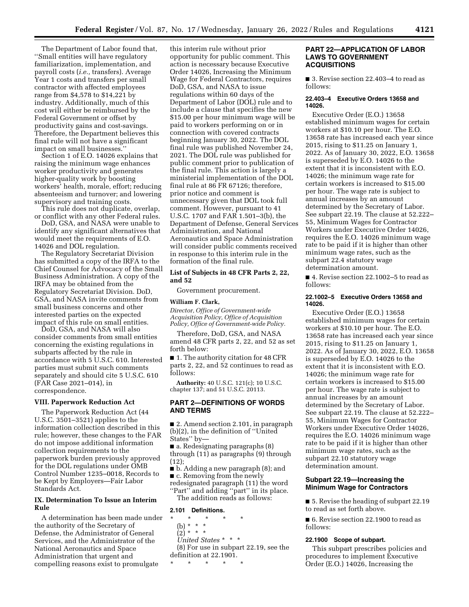The Department of Labor found that, ''Small entities will have regulatory familiarization, implementation, and payroll costs (*i.e.,* transfers). Average Year 1 costs and transfers per small contractor with affected employees range from \$4,578 to \$14,221 by industry. Additionally, much of this cost will either be reimbursed by the Federal Government or offset by productivity gains and cost-savings. Therefore, the Department believes this final rule will not have a significant impact on small businesses.''

Section 1 of E.O. 14026 explains that raising the minimum wage enhances worker productivity and generates higher-quality work by boosting workers' health, morale, effort; reducing absenteeism and turnover; and lowering supervisory and training costs.

This rule does not duplicate, overlap, or conflict with any other Federal rules.

DoD, GSA, and NASA were unable to identify any significant alternatives that would meet the requirements of E.O. 14026 and DOL regulation.

The Regulatory Secretariat Division has submitted a copy of the IRFA to the Chief Counsel for Advocacy of the Small Business Administration. A copy of the IRFA may be obtained from the Regulatory Secretariat Division. DoD, GSA, and NASA invite comments from small business concerns and other interested parties on the expected impact of this rule on small entities.

DoD, GSA, and NASA will also consider comments from small entities concerning the existing regulations in subparts affected by the rule in accordance with 5 U.S.C. 610. Interested parties must submit such comments separately and should cite 5 U.S.C. 610 (FAR Case 2021–014), in correspondence.

# **VIII. Paperwork Reduction Act**

The Paperwork Reduction Act (44 U.S.C. 3501–3521) applies to the information collection described in this rule; however, these changes to the FAR do not impose additional information collection requirements to the paperwork burden previously approved for the DOL regulations under OMB Control Number 1235–0018, Records to be Kept by Employers—Fair Labor Standards Act.

# **IX. Determination To Issue an Interim Rule**

A determination has been made under the authority of the Secretary of Defense, the Administrator of General Services, and the Administrator of the National Aeronautics and Space Administration that urgent and compelling reasons exist to promulgate

this interim rule without prior opportunity for public comment. This action is necessary because Executive Order 14026, Increasing the Minimum Wage for Federal Contractors, requires DoD, GSA, and NASA to issue regulations within 60 days of the Department of Labor (DOL) rule and to include a clause that specifies the new \$15.00 per hour minimum wage will be paid to workers performing on or in connection with covered contracts beginning January 30, 2022. The DOL final rule was published November 24, 2021. The DOL rule was published for public comment prior to publication of the final rule. This action is largely a ministerial implementation of the DOL final rule at 86 FR 67126; therefore, prior notice and comment is unnecessary given that DOL took full comment. However, pursuant to 41 U.S.C. 1707 and FAR 1.501–3(b), the Department of Defense, General Services Administration, and National Aeronautics and Space Administration will consider public comments received in response to this interim rule in the formation of the final rule.

### **List of Subjects in 48 CFR Parts 2, 22, and 52**

Government procurement.

#### **William F. Clark,**

*Director, Office of Government-wide Acquisition Policy, Office of Acquisition Policy, Office of Government-wide Policy.* 

Therefore, DoD, GSA, and NASA amend 48 CFR parts 2, 22, and 52 as set forth below:

■ 1. The authority citation for 48 CFR parts 2, 22, and 52 continues to read as follows:

**Authority:** 40 U.S.C. 121(c); 10 U.S.C. chapter 137; and 51 U.S.C. 20113.

# **PART 2—DEFINITIONS OF WORDS AND TERMS**

■ 2. Amend section 2.101, in paragraph (b)(2), in the definition of ''United States'' by—

■ a. Redesignating paragraphs (8) through (11) as paragraphs (9) through (12);

■ b. Adding a new paragraph (8); and ■ c. Removing from the newly

redesignated paragraph (11) the word ''Part'' and adding ''part'' in its place. The addition reads as follows:

# **2.101 Definitions.**

- \* \* \* \* \*
	- (b) \* \* \*
	- $(2)^*$  \* \* \*
	- *United States* \* \* \*

(8) For use in subpart 22.19, see the definition at 22.1901.

\* \* \* \* \*

### **PART 22—APPLICATION OF LABOR LAWS TO GOVERNMENT ACQUISITIONS**

■ 3. Revise section 22.403–4 to read as follows:

#### **22.403–4 Executive Orders 13658 and 14026.**

Executive Order (E.O.) 13658 established minimum wages for certain workers at \$10.10 per hour. The E.O. 13658 rate has increased each year since 2015, rising to \$11.25 on January 1, 2022. As of January 30, 2022, E.O. 13658 is superseded by E.O. 14026 to the extent that it is inconsistent with E.O. 14026; the minimum wage rate for certain workers is increased to \$15.00 per hour. The wage rate is subject to annual increases by an amount determined by the Secretary of Labor. See subpart 22.19. The clause at 52.222– 55, Minimum Wages for Contractor Workers under Executive Order 14026, requires the E.O. 14026 minimum wage rate to be paid if it is higher than other minimum wage rates, such as the subpart 22.4 statutory wage determination amount.

■ 4. Revise section 22.1002–5 to read as follows:

# **22.1002–5 Executive Orders 13658 and 14026.**

Executive Order (E.O.) 13658 established minimum wages for certain workers at \$10.10 per hour. The E.O. 13658 rate has increased each year since 2015, rising to \$11.25 on January 1, 2022. As of January 30, 2022, E.O. 13658 is superseded by E.O. 14026 to the extent that it is inconsistent with E.O. 14026; the minimum wage rate for certain workers is increased to \$15.00 per hour. The wage rate is subject to annual increases by an amount determined by the Secretary of Labor. See subpart 22.19. The clause at 52.222– 55, Minimum Wages for Contractor Workers under Executive Order 14026, requires the E.O. 14026 minimum wage rate to be paid if it is higher than other minimum wage rates, such as the subpart 22.10 statutory wage determination amount.

# **Subpart 22.19—Increasing the Minimum Wage for Contractors**

■ 5. Revise the heading of subpart 22.19 to read as set forth above.

■ 6. Revise section 22.1900 to read as follows:

#### **22.1900 Scope of subpart.**

This subpart prescribes policies and procedures to implement Executive Order (E.O.) 14026, Increasing the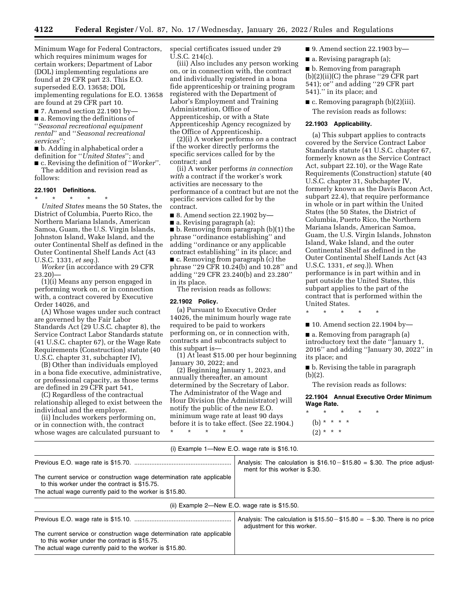Minimum Wage for Federal Contractors, which requires minimum wages for certain workers; Department of Labor (DOL) implementing regulations are found at 29 CFR part 23. This E.O. superseded E.O. 13658; DOL implementing regulations for E.O. 13658 are found at 29 CFR part 10.

 $\blacksquare$  7. Amend section 22.1901 by-■ a. Removing the definitions of ''*Seasonal recreational equipment* 

*rental*'' and ''*Seasonal recreational services*''; ■ b. Adding in alphabetical order a

definition for ''*United States*''; and ■ c. Revising the definition of ''*Worker*''.

The addition and revision read as follows:

### **22.1901 Definitions.**

\* \* \* \* \*

*United States* means the 50 States, the District of Columbia, Puerto Rico, the Northern Mariana Islands, American Samoa, Guam, the U.S. Virgin Islands, Johnston Island, Wake Island, and the outer Continental Shelf as defined in the Outer Continental Shelf Lands Act (43 U.S.C. 1331, *et seq.*).

*Worker* (in accordance with 29 CFR 23.20)—

(1)(i) Means any person engaged in performing work on, or in connection with, a contract covered by Executive Order 14026, and

(A) Whose wages under such contract are governed by the Fair Labor Standards Act (29 U.S.C. chapter 8), the Service Contract Labor Standards statute (41 U.S.C. chapter 67), or the Wage Rate Requirements (Construction) statute (40 U.S.C. chapter 31, subchapter IV),

(B) Other than individuals employed in a bona fide executive, administrative, or professional capacity, as those terms are defined in 29 CFR part 541,

(C) Regardless of the contractual relationship alleged to exist between the individual and the employer.

(ii) Includes workers performing on, or in connection with, the contract whose wages are calculated pursuant to special certificates issued under 29 U.S.C. 214(c).

(iii) Also includes any person working on, or in connection with, the contract and individually registered in a bona fide apprenticeship or training program registered with the Department of Labor's Employment and Training Administration, Office of Apprenticeship, or with a State Apprenticeship Agency recognized by the Office of Apprenticeship.

(2)(i) A worker performs *on* a contract if the worker directly performs the specific services called for by the contract; and

(ii) A worker performs *in connection with* a contract if the worker's work activities are necessary to the performance of a contract but are not the specific services called for by the contract.

■ 8. Amend section 22.1902 by-

■ a. Revising paragraph (a); ■ b. Removing from paragraph (b)(1) the phrase ''ordinance establishing'' and adding ''ordinance or any applicable contract establishing'' in its place; and ■ c. Removing from paragraph (c) the phrase ''29 CFR 10.24(b) and 10.28'' and adding ''29 CFR 23.240(b) and 23.280'' in its place.

The revision reads as follows:

#### **22.1902 Policy.**

(a) Pursuant to Executive Order 14026, the minimum hourly wage rate required to be paid to workers performing on, or in connection with, contracts and subcontracts subject to this subpart is—

(1) At least \$15.00 per hour beginning January 30, 2022; and

(2) Beginning January 1, 2023, and annually thereafter, an amount determined by the Secretary of Labor. The Administrator of the Wage and Hour Division (the Administrator) will notify the public of the new E.O. minimum wage rate at least 90 days before it is to take effect. (See 22.1904.) \* \* \* \* \*

 $\blacksquare$  9. Amend section 22.1903 by-

■ a. Revising paragraph (a);

■ b. Removing from paragraph (b)(2)(ii)(C) the phrase ''29 CFR part 541); or'' and adding ''29 CFR part 541).'' in its place; and

■ c. Removing paragraph (b)(2)(iii). The revision reads as follows:

#### **22.1903 Applicability.**

(a) This subpart applies to contracts covered by the Service Contract Labor Standards statute (41 U.S.C. chapter 67, formerly known as the Service Contract Act, subpart 22.10), or the Wage Rate Requirements (Construction) statute (40 U.S.C. chapter 31, Subchapter IV, formerly known as the Davis Bacon Act, subpart 22.4), that require performance in whole or in part within the United States (the 50 States, the District of Columbia, Puerto Rico, the Northern Mariana Islands, American Samoa, Guam, the U.S. Virgin Islands, Johnston Island, Wake Island, and the outer Continental Shelf as defined in the Outer Continental Shelf Lands Act (43 U.S.C. 1331, *et seq.*)). When performance is in part within and in part outside the United States, this subpart applies to the part of the contract that is performed within the United States.

\* \* \* \* \*

 $\blacksquare$  10. Amend section 22.1904 by-

■ a. Removing from paragraph (a) introductory text the date ''January 1, 2016'' and adding ''January 30, 2022'' in its place; and

■ b. Revising the table in paragraph (b)(2).

The revision reads as follows:

#### **22.1904 Annual Executive Order Minimum Wage Rate.**

\* \* \* \* \* (b) \* \* \* \*  $(2) * * * *$ 

| (i) Example $1$ —New E.O. wage rate is \$16.10.                                                                                                                                     |                                                                                                             |
|-------------------------------------------------------------------------------------------------------------------------------------------------------------------------------------|-------------------------------------------------------------------------------------------------------------|
|                                                                                                                                                                                     | Analysis: The calculation is $$16.10 - $15.80 = $.30$ . The price adjust-<br>ment for this worker is \$.30. |
| The current service or construction wage determination rate applicable<br>to this worker under the contract is \$15.75.<br>The actual wage currently paid to the worker is \$15.80. |                                                                                                             |
|                                                                                                                                                                                     | (ii) Example 2-New E.O. wage rate is \$15.50.                                                               |
|                                                                                                                                                                                     |                                                                                                             |
|                                                                                                                                                                                     | Analysis: The calculation is $$15.50 - $15.80 = - $.30$ . There is no price<br>adjustment for this worker.  |
| The current service or construction wage determination rate applicable<br>to this worker under the contract is \$15.75.                                                             |                                                                                                             |
| The actual wage currently paid to the worker is \$15.80.                                                                                                                            |                                                                                                             |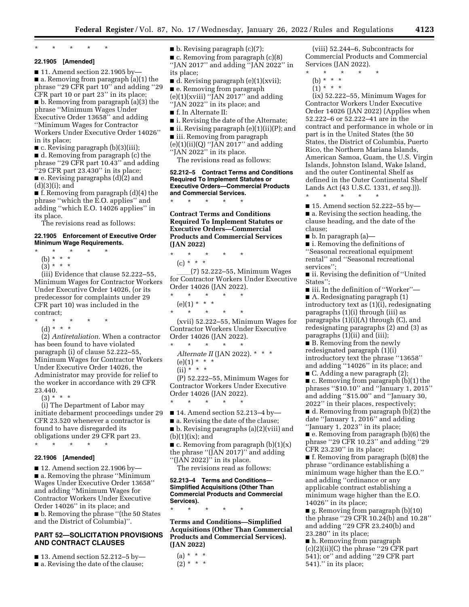### \* \* \* \* \*

# **22.1905 [Amended]**

■ 11. Amend section 22.1905 by-■ a. Removing from paragraph (a)(1) the phrase ''29 CFR part 10'' and adding ''29 CFR part 10 or part 23'' in its place; ■ b. Removing from paragraph (a)(3) the phrase ''Minimum Wages Under Executive Order 13658'' and adding ''Minimum Wages for Contractor Workers Under Executive Order 14026'' in its place;

■ c. Revising paragraph (b)(3)(iii); ■ d. Removing from paragraph (c) the phrase ''29 CFR part 10.43'' and adding ''29 CFR part 23.430'' in its place;

■ e. Revising paragraphs (d)(2) and (d)(3)(i); and

■ f. Removing from paragraph (d)(4) the phrase ''which the E.O. applies'' and adding ''which E.O. 14026 applies'' in its place.

The revisions read as follows:

#### **22.1905 Enforcement of Executive Order Minimum Wage Requirements.**

\* \* \* \* \*

- (b) \* \* \*
- $(3) * * * *$

(iii) Evidence that clause 52.222–55, Minimum Wages for Contractor Workers Under Executive Order 14026, (or its predecessor for complaints under 29 CFR part 10) was included in the contract;

- \* \* \* \* \*
	- (d) \* \* \*

(2) *Antiretaliation.* When a contractor has been found to have violated paragraph (i) of clause 52.222–55, Minimum Wages for Contractor Workers Under Executive Order 14026, the Administrator may provide for relief to the worker in accordance with 29 CFR 23.440.

 $(3) * * * *$ 

(i) The Department of Labor may initiate debarment proceedings under 29 CFR 23.520 whenever a contractor is found to have disregarded its obligations under 29 CFR part 23.

\* \* \* \* \*

# **22.1906 [Amended]**

 $\blacksquare$  12. Amend section 22.1906 by-■ a. Removing the phrase "Minimum Wages Under Executive Order 13658'' and adding ''Minimum Wages for Contractor Workers Under Executive Order 14026'' in its place; and ■ b. Removing the phrase "(the 50 States and the District of Columbia)''.

# **PART 52—SOLICITATION PROVISIONS AND CONTRACT CLAUSES**

■ 13. Amend section 52.212–5 by—

■ a. Revising the date of the clause;

■ b. Revising paragraph (c)(7); ■ c. Removing from paragraph (c)(8)

''JAN 2017'' and adding ''JAN 2022'' in its place;

■ d. Revising paragraph (e)(1)(xvii); ■ e. Removing from paragraph (e)(1)(xviii) ''JAN 2017'' and adding

''JAN 2022'' in its place; and

■ f. In Alternate II:

■ i. Revising the date of the Alternate;

■ ii. Revising paragraph (e)(1)(ii)(P); and

■ iii. Removing from paragraph

 $(e)(1)(ii)(Q)$  "JAN 2017" and adding ''JAN 2022'' in its place.

The revisions read as follows:

**52.212–5 Contract Terms and Conditions Required To Implement Statutes or Executive Orders—Commercial Products and Commercial Services.** 

**Contract Terms and Conditions Required To Implement Statutes or Executive Orders—Commercial Products and Commercial Services (JAN 2022)** 

\* \* \* \* \*

\* \* \* \* \*

(c) \* \* \*

ll(7) 52.222–55, Minimum Wages for Contractor Workers Under Executive Order 14026 (JAN 2022).

\* \* \* \* \*  $(e)(1) * * * *$ 

\* \* \* \* \*

(xvii) 52.222–55, Minimum Wages for Contractor Workers Under Executive Order 14026 (JAN 2022).

\* \* \* \* \* *Alternate II* (JAN 2022). \* \* \*

 $(e)(1) * * * *$ 

 $(ii) * * * *$ 

(P) 52.222–55, Minimum Wages for Contractor Workers Under Executive Order 14026 (JAN 2022).

\* \* \* \* \*

■ 14. Amend section 52.213–4 by—

■ a. Revising the date of the clause; ■ b. Revising paragraphs (a)(2)(viii) and  $(b)(1)(ix);$  and

 $\blacksquare$  c. Removing from paragraph (b)(1)(x) the phrase ''(JAN 2017)'' and adding

''(JAN 2022)'' in its place.

The revisions read as follows:

### **52.213–4 Terms and Conditions— Simplified Acquisitions (Other Than Commercial Products and Commercial Services).**

\* \* \* \* \*

**Terms and Conditions—Simplified Acquisitions (Other Than Commercial Products and Commercial Services). (JAN 2022)** 

 $(a) * * * *$ 

(viii) 52.244–6, Subcontracts for Commercial Products and Commercial Services (JAN 2022).

- $\star$   $\star$
- (b) \* \* \*

 $(1) * * * *$ 

(ix) 52.222–55, Minimum Wages for Contractor Workers Under Executive Order 14026 (JAN 2022) (Applies when 52.222–6 or 52.222–41 are in the contract and performance in whole or in part is in the United States (the 50 States, the District of Columbia, Puerto Rico, the Northern Mariana Islands, American Samoa, Guam, the U.S. Virgin Islands, Johnston Island, Wake Island, and the outer Continental Shelf as defined in the Outer Continental Shelf Lands Act (43 U.S.C. 1331, *et seq.*))). \* \* \* \* \*

■ 15. Amend section 52.222-55 by-■ a. Revising the section heading, the clause heading, and the date of the clause;

■ b. In paragraph (a)—

■ i. Removing the definitions of ''Seasonal recreational equipment rental'' and ''Seasonal recreational services'';

■ ii. Revising the definition of "United States'';

■ iii. In the definition of "Worker"— ■ A. Redesignating paragraph (1) introductory text as (1)(i), redesignating paragraphs (1)(i) through (iii) as paragraphs (1)(i)(A) through (C), and redesignating paragraphs (2) and (3) as paragraphs (1)(ii) and (iii);

■ B. Removing from the newly redesignated paragraph (1)(i) introductory text the phrase ''13658'' and adding ''14026'' in its place; and ■ C. Adding a new paragraph (2);

■ c. Removing from paragraph (b)(1) the phrases ''\$10.10'' and ''January 1, 2015'' and adding ''\$15.00'' and ''January 30, 2022'' in their places, respectively;

■ d. Removing from paragraph (b)(2) the date ''January 1, 2016'' and adding ''January 1, 2023'' in its place;

■ e. Removing from paragraph (b)(6) the phrase ''29 CFR 10.23'' and adding ''29 CFR 23.230'' in its place;

■ f. Removing from paragraph (b)(8) the phrase ''ordinance establishing a minimum wage higher than the E.O.'' and adding ''ordinance or any applicable contract establishing a minimum wage higher than the E.O. 14026'' in its place;

■ g. Removing from paragraph (b)(10) the phrase ''29 CFR 10.24(b) and 10.28'' and adding ''29 CFR 23.240(b) and 23.280'' in its place;

■ h. Removing from paragraph (c)(2)(ii)(C) the phrase ''29 CFR part 541); or'' and adding ''29 CFR part 541).'' in its place;

 $(2) * * * *$